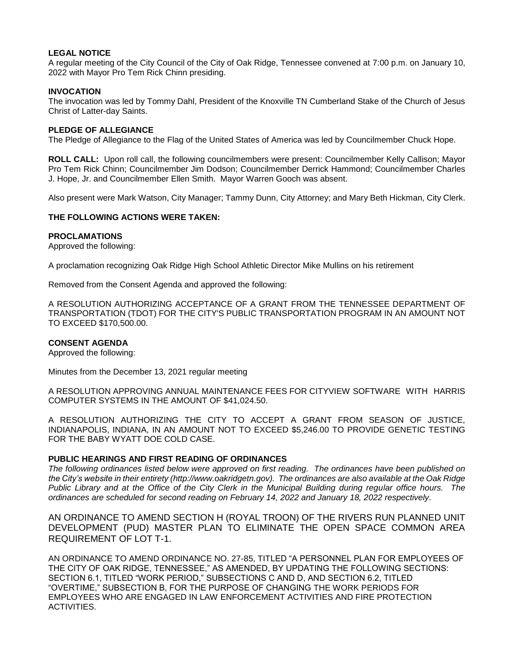# **LEGAL NOTICE**

A regular meeting of the City Council of the City of Oak Ridge, Tennessee convened at 7:00 p.m. on January 10, 2022 with Mayor Pro Tem Rick Chinn presiding.

# **INVOCATION**

The invocation was led by Tommy Dahl, President of the Knoxville TN Cumberland Stake of the Church of Jesus Christ of Latter-day Saints.

#### **PLEDGE OF ALLEGIANCE**

The Pledge of Allegiance to the Flag of the United States of America was led by Councilmember Chuck Hope.

**ROLL CALL:** Upon roll call, the following councilmembers were present: Councilmember Kelly Callison; Mayor Pro Tem Rick Chinn; Councilmember Jim Dodson; Councilmember Derrick Hammond; Councilmember Charles J. Hope, Jr. and Councilmember Ellen Smith. Mayor Warren Gooch was absent.

Also present were Mark Watson, City Manager; Tammy Dunn, City Attorney; and Mary Beth Hickman, City Clerk.

# **THE FOLLOWING ACTIONS WERE TAKEN:**

## **PROCLAMATIONS**

Approved the following:

A proclamation recognizing Oak Ridge High School Athletic Director Mike Mullins on his retirement

Removed from the Consent Agenda and approved the following:

A RESOLUTION AUTHORIZING ACCEPTANCE OF A GRANT FROM THE TENNESSEE DEPARTMENT OF TRANSPORTATION (TDOT) FOR THE CITY'S PUBLIC TRANSPORTATION PROGRAM IN AN AMOUNT NOT TO EXCEED \$170,500.00.

## **CONSENT AGENDA**

Approved the following:

Minutes from the December 13, 2021 regular meeting

A RESOLUTION APPROVING ANNUAL MAINTENANCE FEES FOR CITYVIEW SOFTWARE WITH HARRIS COMPUTER SYSTEMS IN THE AMOUNT OF \$41,024.50.

A RESOLUTION AUTHORIZING THE CITY TO ACCEPT A GRANT FROM SEASON OF JUSTICE, INDIANAPOLIS, INDIANA, IN AN AMOUNT NOT TO EXCEED \$5,246.00 TO PROVIDE GENETIC TESTING FOR THE BABY WYATT DOE COLD CASE.

## **PUBLIC HEARINGS AND FIRST READING OF ORDINANCES**

*The following ordinances listed below were approved on first reading. The ordinances have been published on the City's website in their entirety (http://www.oakridgetn.gov). The ordinances are also available at the Oak Ridge Public Library and at the Office of the City Clerk in the Municipal Building during regular office hours. The ordinances are scheduled for second reading on February 14, 2022 and January 18, 2022 respectively.* 

AN ORDINANCE TO AMEND SECTION H (ROYAL TROON) OF THE RIVERS RUN PLANNED UNIT DEVELOPMENT (PUD) MASTER PLAN TO ELIMINATE THE OPEN SPACE COMMON AREA REQUIREMENT OF LOT T-1.

AN ORDINANCE TO AMEND ORDINANCE NO. 27-85, TITLED "A PERSONNEL PLAN FOR EMPLOYEES OF THE CITY OF OAK RIDGE, TENNESSEE," AS AMENDED, BY UPDATING THE FOLLOWING SECTIONS: SECTION 6.1, TITLED "WORK PERIOD," SUBSECTIONS C AND D, AND SECTION 6.2, TITLED "OVERTIME," SUBSECTION B, FOR THE PURPOSE OF CHANGING THE WORK PERIODS FOR EMPLOYEES WHO ARE ENGAGED IN LAW ENFORCEMENT ACTIVITIES AND FIRE PROTECTION ACTIVITIES.